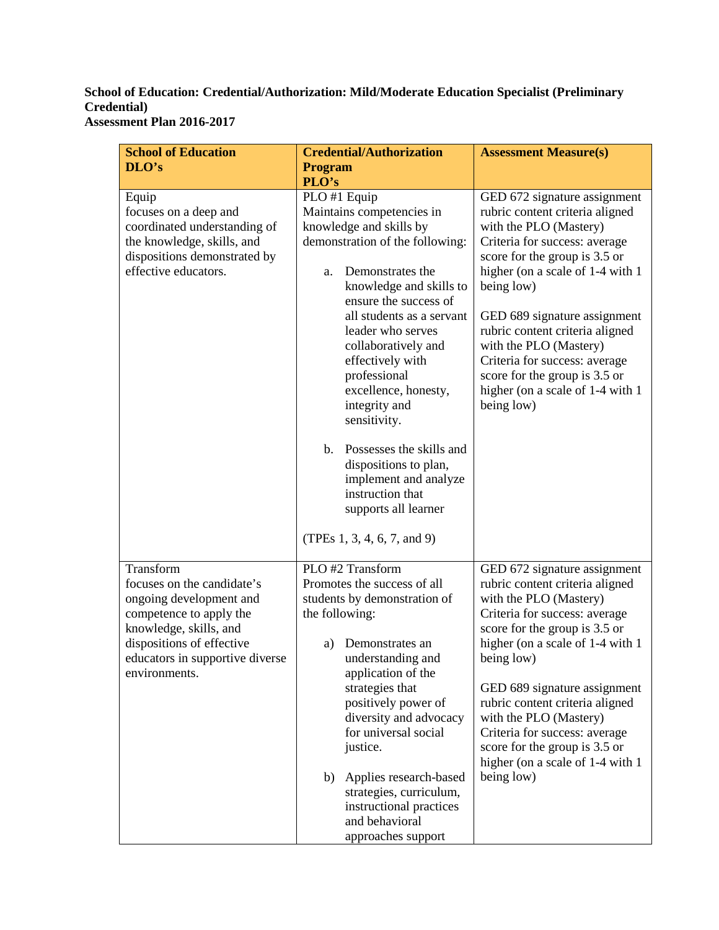## **School of Education: Credential/Authorization: Mild/Moderate Education Specialist (Preliminary Credential) Assessment Plan 2016-2017**

| <b>School of Education</b>                                                                                                                                                                               | <b>Credential/Authorization</b>                                                                                                                                                                                                                                                                                                                                                                                                                 | <b>Assessment Measure(s)</b>                                                                                                                                                                                                                                                                                                                                                                                                   |
|----------------------------------------------------------------------------------------------------------------------------------------------------------------------------------------------------------|-------------------------------------------------------------------------------------------------------------------------------------------------------------------------------------------------------------------------------------------------------------------------------------------------------------------------------------------------------------------------------------------------------------------------------------------------|--------------------------------------------------------------------------------------------------------------------------------------------------------------------------------------------------------------------------------------------------------------------------------------------------------------------------------------------------------------------------------------------------------------------------------|
| DLO's                                                                                                                                                                                                    | <b>Program</b>                                                                                                                                                                                                                                                                                                                                                                                                                                  |                                                                                                                                                                                                                                                                                                                                                                                                                                |
|                                                                                                                                                                                                          | PLO's                                                                                                                                                                                                                                                                                                                                                                                                                                           |                                                                                                                                                                                                                                                                                                                                                                                                                                |
| Equip<br>focuses on a deep and<br>coordinated understanding of<br>the knowledge, skills, and<br>dispositions demonstrated by<br>effective educators.                                                     | PLO #1 Equip<br>Maintains competencies in<br>knowledge and skills by<br>demonstration of the following:<br>Demonstrates the<br>a.<br>knowledge and skills to<br>ensure the success of<br>all students as a servant<br>leader who serves<br>collaboratively and<br>effectively with<br>professional<br>excellence, honesty,<br>integrity and<br>sensitivity.<br>Possesses the skills and<br>b.<br>dispositions to plan,<br>implement and analyze | GED 672 signature assignment<br>rubric content criteria aligned<br>with the PLO (Mastery)<br>Criteria for success: average<br>score for the group is 3.5 or<br>higher (on a scale of 1-4 with 1<br>being low)<br>GED 689 signature assignment<br>rubric content criteria aligned<br>with the PLO (Mastery)<br>Criteria for success: average<br>score for the group is 3.5 or<br>higher (on a scale of 1-4 with 1<br>being low) |
|                                                                                                                                                                                                          | instruction that<br>supports all learner<br>(TPEs $1, 3, 4, 6, 7,$ and 9)                                                                                                                                                                                                                                                                                                                                                                       |                                                                                                                                                                                                                                                                                                                                                                                                                                |
| Transform<br>focuses on the candidate's<br>ongoing development and<br>competence to apply the<br>knowledge, skills, and<br>dispositions of effective<br>educators in supportive diverse<br>environments. | PLO #2 Transform<br>Promotes the success of all<br>students by demonstration of<br>the following:<br>Demonstrates an<br>a)<br>understanding and<br>application of the                                                                                                                                                                                                                                                                           | GED 672 signature assignment<br>rubric content criteria aligned<br>with the PLO (Mastery)<br>Criteria for success: average<br>score for the group is 3.5 or<br>higher (on a scale of 1-4 with 1<br>being low)                                                                                                                                                                                                                  |
|                                                                                                                                                                                                          | strategies that<br>positively power of<br>diversity and advocacy<br>for universal social<br>justice.                                                                                                                                                                                                                                                                                                                                            | GED 689 signature assignment<br>rubric content criteria aligned<br>with the PLO (Mastery)<br>Criteria for success: average<br>score for the group is 3.5 or<br>higher (on a scale of 1-4 with 1)                                                                                                                                                                                                                               |
|                                                                                                                                                                                                          | Applies research-based<br>b)<br>strategies, curriculum,<br>instructional practices<br>and behavioral<br>approaches support                                                                                                                                                                                                                                                                                                                      | being low)                                                                                                                                                                                                                                                                                                                                                                                                                     |